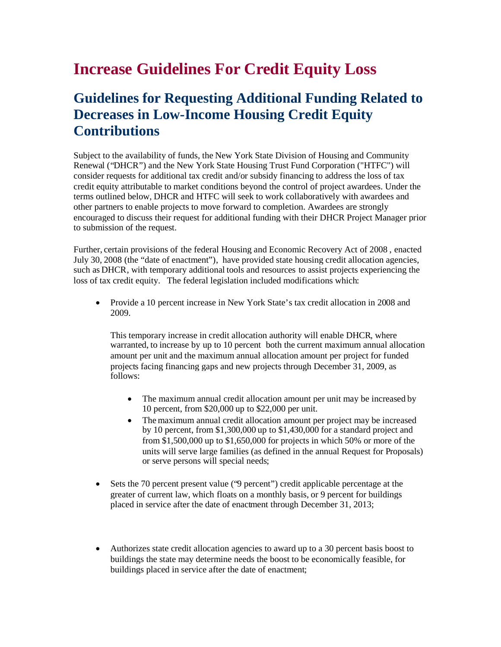# **Increase Guidelines For Credit Equity Loss**

## **Guidelines for Requesting Additional Funding Related to Decreases in Low-Income Housing Credit Equity Contributions**

Subject to the availability of funds, the New York State Division of Housing and Community Renewal ("DHCR") and the New York State Housing Trust Fund Corporation ("HTFC") will consider requests for additional tax credit and/or subsidy financing to address the loss of tax credit equity attributable to market conditions beyond the control of project awardees. Under the terms outlined below, DHCR and HTFC will seek to work collaboratively with awardees and other partners to enable projects to move forward to completion. Awardees are strongly encouraged to discuss their request for additional funding with their DHCR Project Manager prior to submission of the request.

Further, certain provisions of the federal Housing and Economic Recovery Act of 2008 , enacted July 30, 2008 (the "date of enactment"), have provided state housing credit allocation agencies, such as DHCR, with temporary additional tools and resources to assist projects experiencing the loss of tax credit equity. The federal legislation included modifications which:

 Provide a 10 percent increase in New York State's tax credit allocation in 2008 and 2009.

This temporary increase in credit allocation authority will enable DHCR, where warranted, to increase by up to 10 percent both the current maximum annual allocation amount per unit and the maximum annual allocation amount per project for funded projects facing financing gaps and new projects through December 31, 2009, as follows:

- The maximum annual credit allocation amount per unit may be increased by 10 percent, from \$20,000 up to \$22,000 per unit.
- The maximum annual credit allocation amount per project may be increased by 10 percent, from \$1,300,000 up to \$1,430,000 for a standard project and from \$1,500,000 up to \$1,650,000 for projects in which 50% or more of the units will serve large families (as defined in the annual Request for Proposals) or serve persons will special needs;
- Sets the 70 percent present value ("9 percent") credit applicable percentage at the greater of current law, which floats on a monthly basis, or 9 percent for buildings placed in service after the date of enactment through December 31, 2013;
- Authorizes state credit allocation agencies to award up to a 30 percent basis boost to buildings the state may determine needs the boost to be economically feasible, for buildings placed in service after the date of enactment;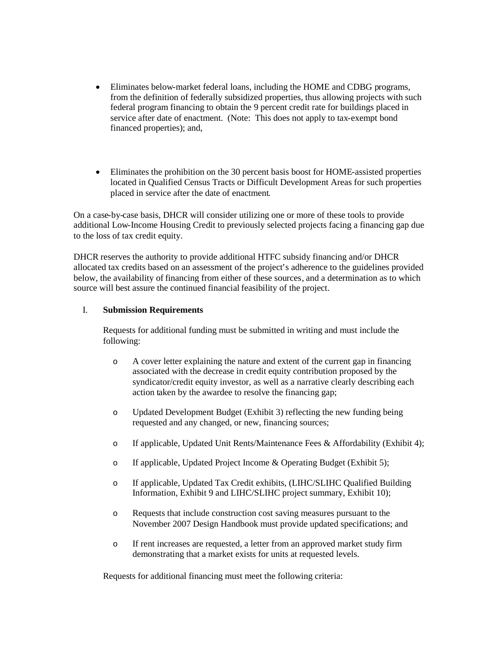- Eliminates below-market federal loans, including the HOME and CDBG programs, from the definition of federally subsidized properties, thus allowing projects with such federal program financing to obtain the 9 percent credit rate for buildings placed in service after date of enactment. (Note: This does not apply to tax-exempt bond financed properties); and,
- Eliminates the prohibition on the 30 percent basis boost for HOME-assisted properties located in Qualified Census Tracts or Difficult Development Areas for such properties placed in service after the date of enactment.

On a case-by-case basis, DHCR will consider utilizing one or more of these tools to provide additional Low-Income Housing Credit to previously selected projects facing a financing gap due to the loss of tax credit equity.

DHCR reserves the authority to provide additional HTFC subsidy financing and/or DHCR allocated tax credits based on an assessment of the project's adherence to the guidelines provided below, the availability of financing from either of these sources, and a determination as to which source will best assure the continued financial feasibility of the project.

#### I. **Submission Requirements**

Requests for additional funding must be submitted in writing and must include the following:

- o A cover letter explaining the nature and extent of the current gap in financing associated with the decrease in credit equity contribution proposed by the syndicator/credit equity investor, as well as a narrative clearly describing each action taken by the awardee to resolve the financing gap;
- o Updated Development Budget (Exhibit 3) reflecting the new funding being requested and any changed, or new, financing sources;
- o If applicable, Updated Unit Rents/Maintenance Fees & Affordability (Exhibit 4);
- o If applicable, Updated Project Income & Operating Budget (Exhibit 5);
- o If applicable, Updated Tax Credit exhibits, (LIHC/SLIHC Qualified Building Information, Exhibit 9 and LIHC/SLIHC project summary, Exhibit 10);
- o Requests that include construction cost saving measures pursuant to the November 2007 Design Handbook must provide updated specifications; and
- o If rent increases are requested, a letter from an approved market study firm demonstrating that a market exists for units at requested levels.

Requests for additional financing must meet the following criteria: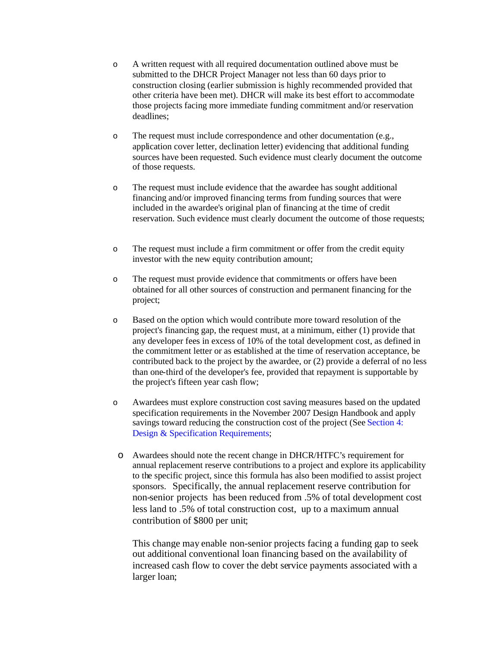- o A written request with all required documentation outlined above must be submitted to the DHCR Project Manager not less than 60 days prior to construction closing (earlier submission is highly recommended provided that other criteria have been met). DHCR will make its best effort to accommodate those projects facing more immediate funding commitment and/or reservation deadlines;
- o The request must include correspondence and other documentation (e.g., application cover letter, declination letter) evidencing that additional funding sources have been requested. Such evidence must clearly document the outcome of those requests.
- o The request must include evidence that the awardee has sought additional financing and/or improved financing terms from funding sources that were included in the awardee's original plan of financing at the time of credit reservation. Such evidence must clearly document the outcome of those requests;
- o The request must include a firm commitment or offer from the credit equity investor with the new equity contribution amount;
- o The request must provide evidence that commitments or offers have been obtained for all other sources of construction and permanent financing for the project;
- o Based on the option which would contribute more toward resolution of the project's financing gap, the request must, at a minimum, either (1) provide that any developer fees in excess of 10% of the total development cost, as defined in the commitment letter or as established at the time of reservation acceptance, be contributed back to the project by the awardee, or (2) provide a deferral of no less than one-third of the developer's fee, provided that repayment is supportable by the project's fifteen year cash flow;
- o Awardees must explore construction cost saving measures based on the updated specification requirements in the November 2007 Design Handbook and apply savings toward reducing the construction cost of the project (See Section 4: Design & Specification Requirements;
	- o Awardees should note the recent change in DHCR/HTFC's requirement for annual replacement reserve contributions to a project and explore its applicability to the specific project, since this formula has also been modified to assist project sponsors. Specifically, the annual replacement reserve contribution for non-senior projects has been reduced from .5% of total development cost less land to .5% of total construction cost, up to a maximum annual contribution of \$800 per unit;

This change may enable non-senior projects facing a funding gap to seek out additional conventional loan financing based on the availability of increased cash flow to cover the debt service payments associated with a larger loan;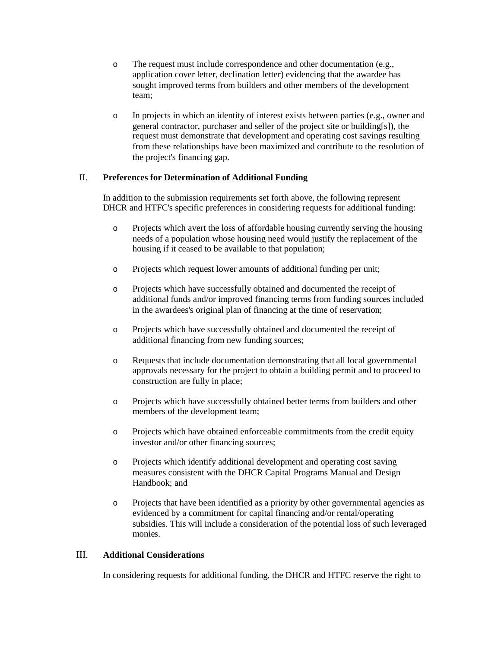- o The request must include correspondence and other documentation (e.g., application cover letter, declination letter) evidencing that the awardee has sought improved terms from builders and other members of the development team;
- o In projects in which an identity of interest exists between parties (e.g., owner and general contractor, purchaser and seller of the project site or building[s]), the request must demonstrate that development and operating cost savings resulting from these relationships have been maximized and contribute to the resolution of the project's financing gap.

#### II. **Preferences for Determination of Additional Funding**

In addition to the submission requirements set forth above, the following represent DHCR and HTFC's specific preferences in considering requests for additional funding:

- o Projects which avert the loss of affordable housing currently serving the housing needs of a population whose housing need would justify the replacement of the housing if it ceased to be available to that population;
- o Projects which request lower amounts of additional funding per unit;
- o Projects which have successfully obtained and documented the receipt of additional funds and/or improved financing terms from funding sources included in the awardees's original plan of financing at the time of reservation;
- o Projects which have successfully obtained and documented the receipt of additional financing from new funding sources;
- o Requests that include documentation demonstrating that all local governmental approvals necessary for the project to obtain a building permit and to proceed to construction are fully in place;
- o Projects which have successfully obtained better terms from builders and other members of the development team;
- o Projects which have obtained enforceable commitments from the credit equity investor and/or other financing sources;
- o Projects which identify additional development and operating cost saving measures consistent with the DHCR Capital Programs Manual and Design Handbook; and
- o Projects that have been identified as a priority by other governmental agencies as evidenced by a commitment for capital financing and/or rental/operating subsidies. This will include a consideration of the potential loss of such leveraged monies.

### III. **Additional Considerations**

In considering requests for additional funding, the DHCR and HTFC reserve the right to